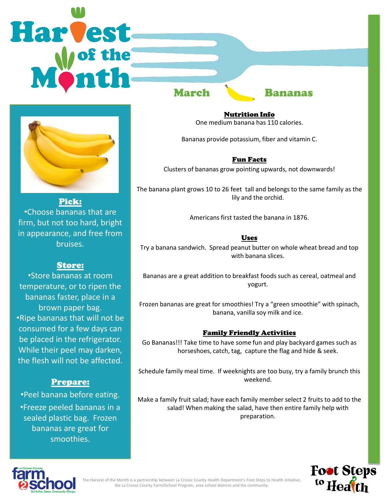# **Harvest** March Bananas



Pick: •Choose bananas that are firm, but not too hard, bright in appearance, and free from bruises.

# Store:

•Store bananas at room temperature, or to ripen the bananas faster, place in a brown paper bag. •Ripe bananas that will not be consumed for a few days can be placed in the refrigerator. While their peel may darken, the flesh will not be affected.

# Prepare:

•Peel banana before eating. •Freeze peeled bananas in a sealed plastic bag. Frozen bananas are great for smoothies.

Nutrition Info One medium banana has 110 calories.

Bananas provide potassium, fiber and vitamin C.

### Fun Facts

Clusters of bananas grow pointing upwards, not downwards!

The banana plant grows 10 to 26 feet tall and belongs to the same family as the lily and the orchid.

Americans first tasted the banana in 1876.

### Uses

Try a banana sandwich. Spread peanut butter on whole wheat bread and top with banana slices.

Bananas are a great addition to breakfast foods such as cereal, oatmeal and yogurt.

Frozen bananas are great for smoothies! Try a "green smoothie" with spinach, banana, vanilla soy milk and ice.

### Family Friendly Activities

Go Bananas!!! Take time to have some fun and play backyard games such as horseshoes, catch, tag, capture the flag and hide & seek.

Schedule family meal time. If weeknights are too busy, try a family brunch this weekend.

Make a family fruit salad; have each family member select 2 fruits to add to the salad! When making the salad, have then entire family help with preparation.